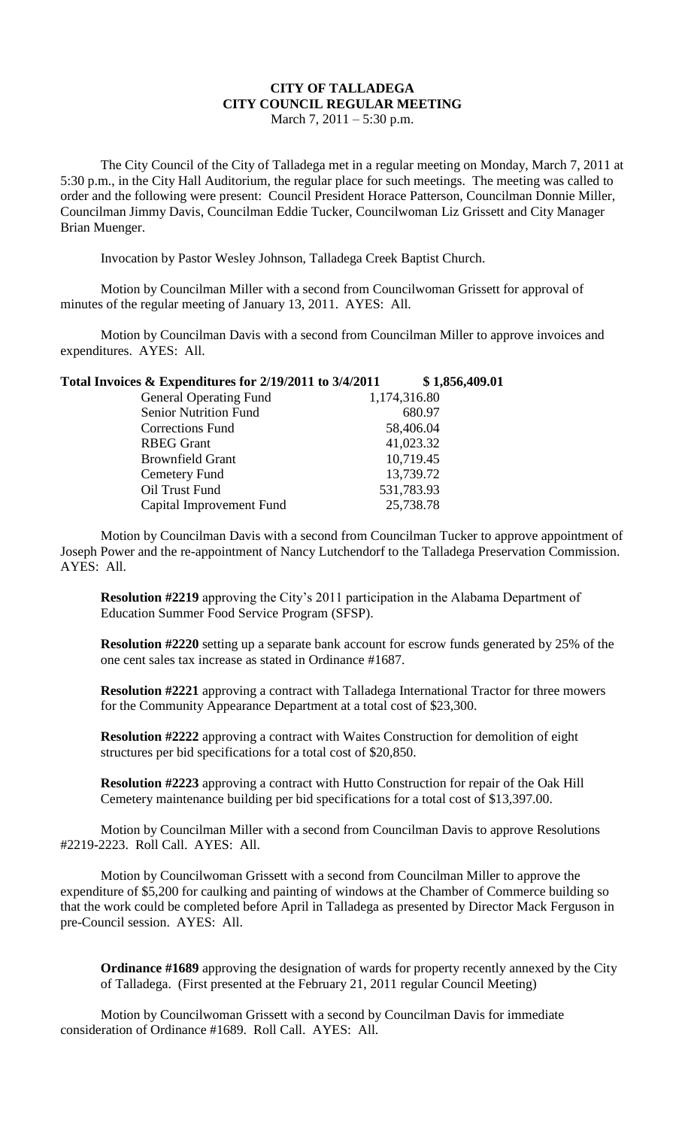## **CITY OF TALLADEGA CITY COUNCIL REGULAR MEETING**

March 7, 2011 – 5:30 p.m.

The City Council of the City of Talladega met in a regular meeting on Monday, March 7, 2011 at 5:30 p.m., in the City Hall Auditorium, the regular place for such meetings. The meeting was called to order and the following were present: Council President Horace Patterson, Councilman Donnie Miller, Councilman Jimmy Davis, Councilman Eddie Tucker, Councilwoman Liz Grissett and City Manager Brian Muenger.

Invocation by Pastor Wesley Johnson, Talladega Creek Baptist Church.

Motion by Councilman Miller with a second from Councilwoman Grissett for approval of minutes of the regular meeting of January 13, 2011. AYES: All.

Motion by Councilman Davis with a second from Councilman Miller to approve invoices and expenditures. AYES: All.

| Total Invoices $\&$ Expenditures for 2/19/2011 to 3/4/2011 | \$1,856,409.01 |
|------------------------------------------------------------|----------------|
|------------------------------------------------------------|----------------|

| <b>General Operating Fund</b> | 1,174,316.80 |
|-------------------------------|--------------|
| <b>Senior Nutrition Fund</b>  | 680.97       |
| <b>Corrections Fund</b>       | 58,406.04    |
| <b>RBEG</b> Grant             | 41,023.32    |
| <b>Brownfield Grant</b>       | 10,719.45    |
| Cemetery Fund                 | 13,739.72    |
| Oil Trust Fund                | 531,783.93   |
| Capital Improvement Fund      | 25,738.78    |
|                               |              |

Motion by Councilman Davis with a second from Councilman Tucker to approve appointment of Joseph Power and the re-appointment of Nancy Lutchendorf to the Talladega Preservation Commission. AYES: All.

**Resolution #2219** approving the City's 2011 participation in the Alabama Department of Education Summer Food Service Program (SFSP).

**Resolution #2220** setting up a separate bank account for escrow funds generated by 25% of the one cent sales tax increase as stated in Ordinance #1687.

**Resolution #2221** approving a contract with Talladega International Tractor for three mowers for the Community Appearance Department at a total cost of \$23,300.

**Resolution #2222** approving a contract with Waites Construction for demolition of eight structures per bid specifications for a total cost of \$20,850.

**Resolution #2223** approving a contract with Hutto Construction for repair of the Oak Hill Cemetery maintenance building per bid specifications for a total cost of \$13,397.00.

Motion by Councilman Miller with a second from Councilman Davis to approve Resolutions #2219-2223. Roll Call. AYES: All.

Motion by Councilwoman Grissett with a second from Councilman Miller to approve the expenditure of \$5,200 for caulking and painting of windows at the Chamber of Commerce building so that the work could be completed before April in Talladega as presented by Director Mack Ferguson in pre-Council session. AYES: All.

**Ordinance #1689** approving the designation of wards for property recently annexed by the City of Talladega. (First presented at the February 21, 2011 regular Council Meeting)

Motion by Councilwoman Grissett with a second by Councilman Davis for immediate consideration of Ordinance #1689. Roll Call. AYES: All.